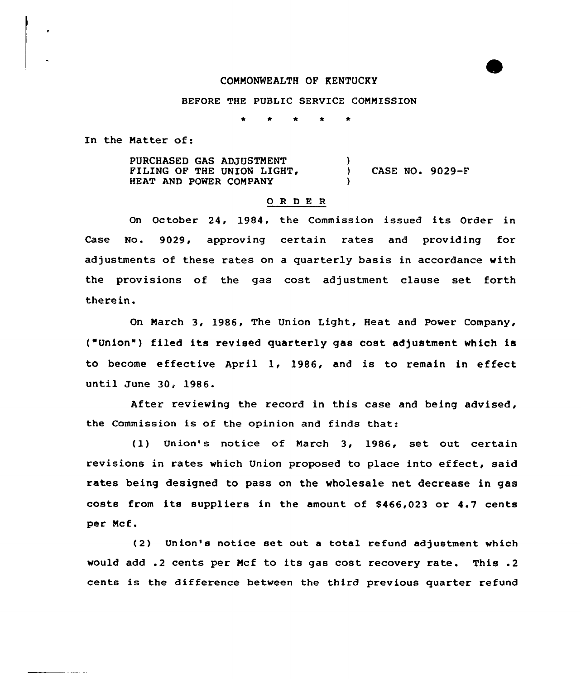## COMMONWEALTH OF KENTUCKY

### BEFORE THE PUBLIC SERVICE COMMISSION

In the Matter of:

PURCHASED GAS ADJUSTMENT FILING OF THE UNION LIGHT, HEAT AND POWER COMPANY ) ) CASE NO.  $9029-F$ )

### 0 <sup>R</sup> <sup>D</sup> E <sup>R</sup>

On October 24, 1984, the Commission issued its Order in Case No. 9029, approving certain rates and providing for adjustments of these rates on a quarterly basis in accordance with the provisions of the gas cost adjustment clause set forth therein.

On March 3, 1986, The Union Light, Heat and Power Company, ("Union" ) filed its revised quarterly gas cost adjustment which is to become effective April 1, 1986, and is to remain in effect until June 30, 1986.

After reviewing the record in this case and being advised, the Commission is of the opinion and finds that:

(1) Union's notice of March 3, 1986, set out certain revisions in rates which Union proposed to place into effect, said rates being designed to pass on the wholesale net decrease in gas costs from its suppliers in the amount of \$466,023 or 4.7 cents per Mcf.

(2) Union's notice set out <sup>a</sup> total refund adjustment which would add .2 cents per Mcf to its gas cost recovery rate. This .2 cents is the difference between the third previous quarter refund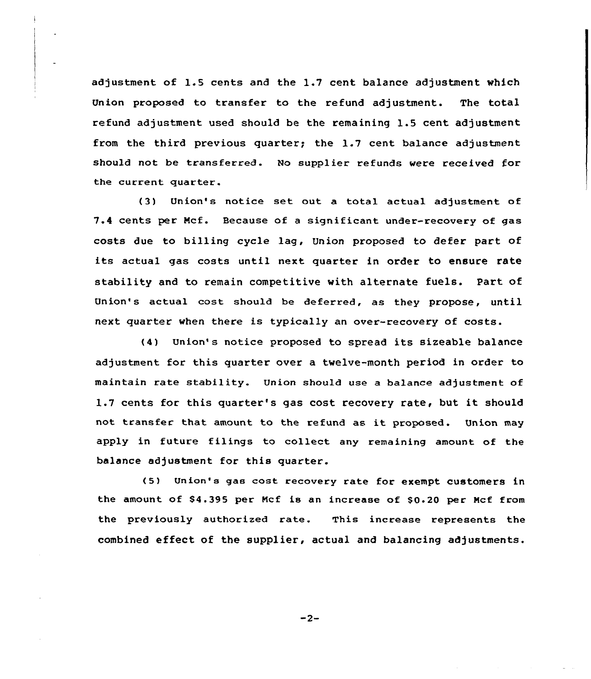adjustment of 1.5 cents and the 1.7 cent balance adjustment which Union proposed to transfer to the refund adjustment. The total refund adjustment used should be the remaining 1.5 cent adjustment from the third previous quarter; the  $1.7$  cent balance adjustment should not be transferred. No supplier refunds were received for the current quarter.

(3) Union's notice set out a total actual adjustment of 7.4 cents per Mcf. Because of a significant under-recovery of gas costs due to billing cycle lag, Union proposed to defer part of its actual gas costs until next quarter in order to ensure rate stability and to remain competitive with alternate fuels. Part of Union's actual cost should be deferred, as they propose, until next quarter when there is typically an over-recovery of costs.

(4) Union's notice proposed to spread its sizeable balance adjustment for this quarter over a twelve-month period in order to maintain rate stability. Union should use a balance adjustment of 1.7 cents for this quarter's gas cost recovery rate, but it should not transfer that amount to the refund as it proposed. Union may apply in future filings to collect any remaining amount of the balance adjustment for this quarter.

<5) Union's gas cost recovery rate for exempt customers in the amount of \$4.395 per Mcf is an increase of \$0.20 per Mcf from the previously authorized rate. This increase represents the combined effect of the supplier, actual and balancing adjustments.

 $-2-$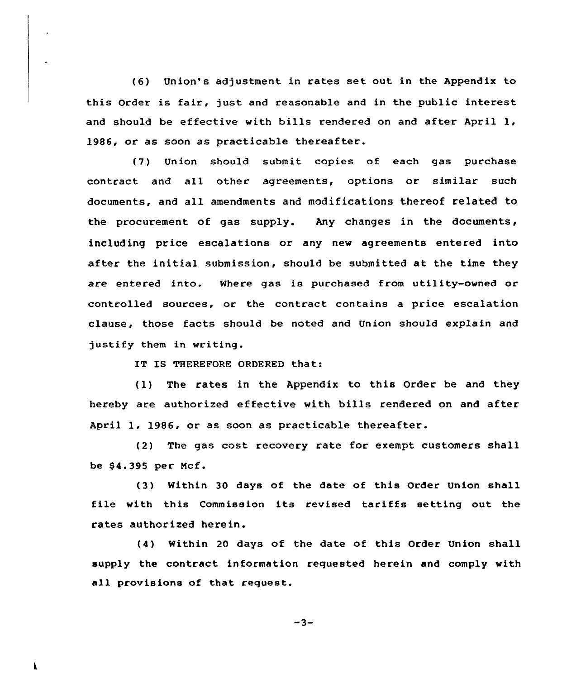(6) Union's adjustment in rates set out in the Appendix to this Order is fair, just and reasonable and in the public interest and should be effective with bills rendered on and after April 1, 1986, or as soon as practicable thereafter.

(7) Union should submit copies of each gas purchase contract and all other agreements, options or similar such documents, and all amendments and modifications thereof related to the procurement of gas supply. Any changes in the documents, including price escalations or any new agreements entered into after the initial submission, should be submitted at the time they are entered into. Where gas is purchased from utility-owned or controlled sources, or the contract contains a price escalation clause, those facts should be noted and Union should explain and justify them in writing.

IT IS THEREFORE ORDERED that:

(1) The rates in the Appendix to this Order be and they hereby are authorized effective with bills rendered on and after April 1, 1986, or as soon as practicable thereafter.

(2) The gas cost recovery rate for exempt customers shall be \$4.395 per Mcf.

(3) Within 30 days of the date of this Order Union shall file with this Commission its revised tariffs setting out the rates authorized herein.

(4) Within 20 days of the date of this Order Union shall supply the contract information requested herein and comply with all provisions of that request.

 $-3-$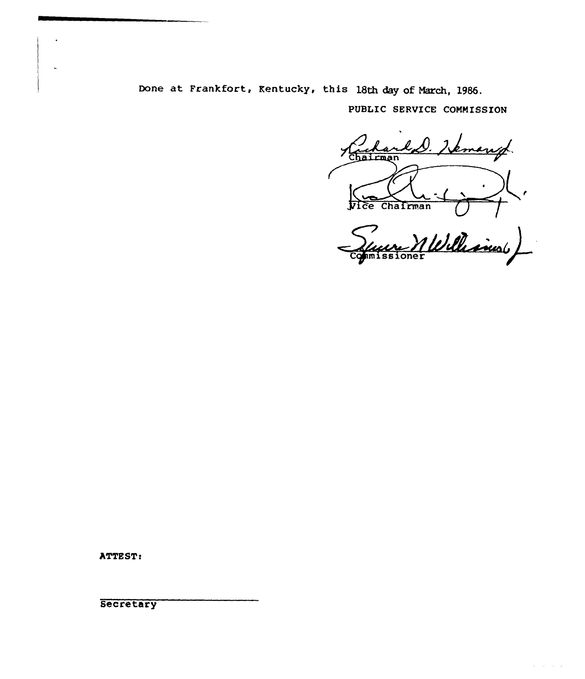Done at Frankfort, Kentucky, this 18th day of March, 1986.

PUBLIC SERUICE COMMISSION

up Chairman ce Chairman

Mellesins Commissioner

 $\omega_{\rm{eff}}$  and  $\omega_{\rm{eff}}$  and

ATTEST:

**Secretary**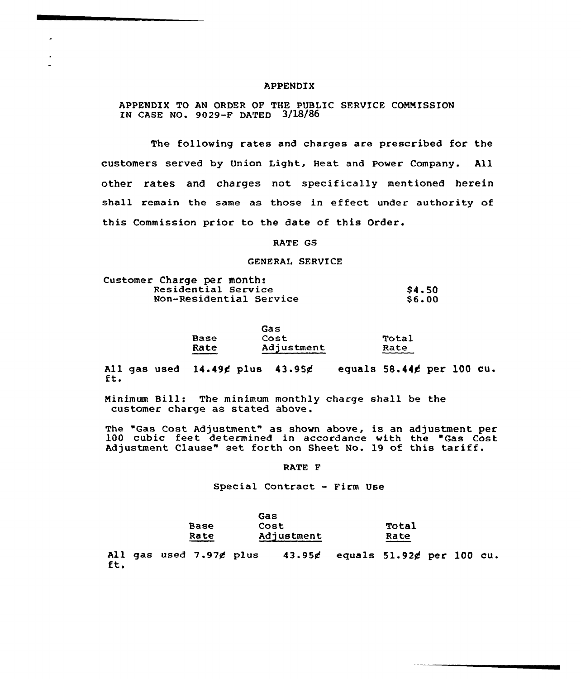### APPENDIX

APPENDIX TO AN ORDER OF THE PUBLIC SERVICE CONNISSION IN CASE NO. 9029-F DATED 3/18/86

The following rates and charges are prescribed for the customers served by Union Light, Heat and Power Company. All other rates and charges not specifically mentioned herein shall remain the same as those in effeet under authority of this Commission prior to the date of this Order.

RATE GS

GENERAL SERVICE

| Customer Charge per month: |              |
|----------------------------|--------------|
| Residential Service        | <b>S4.50</b> |
| Non-Residential Service    | <b>S6.00</b> |

|      | Gas        |       |
|------|------------|-------|
| Base | Cost       | Total |
| Rate | Adjustment | Rate  |

All gas used 14.49¢ plus 43.95¢ equals 58.44¢ per 100 cu.<br>ft.

Ninimum Bill: The minimum monthly charge shall be the customer charge as stated above.

The "Gas Cost Adjustment" as shown above, is an adjustment per 100 cubic feet determined in accordance with the "Gas Cost Adjustment Clause" set forth on Sheet No. 19 of this tariff.

RATE F

Special Contract - Firm Use

|      | Gas               |              |
|------|-------------------|--------------|
| Base | <b>Cost</b>       | <b>Total</b> |
| Rate | <b>Adjustment</b> | Rate         |

All gas used 7.97 $\notin$  plus 43.95 $\notin$  equals 51.92 $\notin$  per 100 cu.<br>ft.